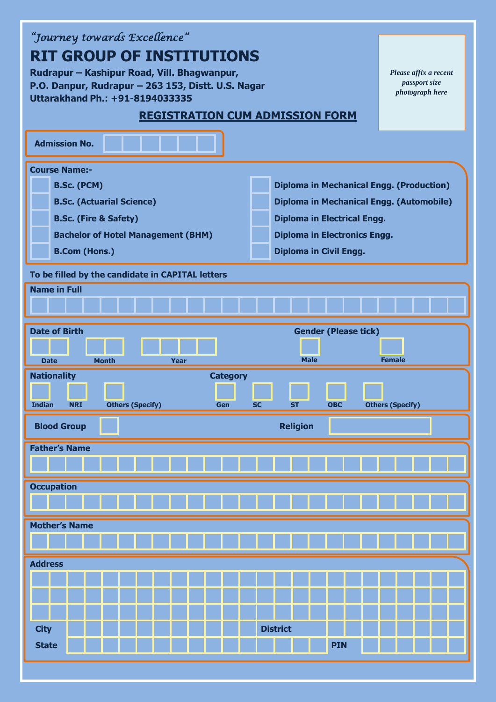| "Journey towards Excellence"                                                                          |                                        |
|-------------------------------------------------------------------------------------------------------|----------------------------------------|
| <b>RIT GROUP OF INSTITUTIONS</b>                                                                      |                                        |
| Rudrapur – Kashipur Road, Vill. Bhagwanpur,                                                           | Please affix a recent<br>passport size |
| P.O. Danpur, Rudrapur - 263 153, Distt. U.S. Nagar<br>Uttarakhand Ph.: +91-8194033335                 | photograph here                        |
|                                                                                                       |                                        |
| <b>REGISTRATION CUM ADMISSION FORM</b>                                                                |                                        |
| <b>Admission No.</b>                                                                                  |                                        |
| <b>Course Name:-</b>                                                                                  |                                        |
| <b>Diploma in Mechanical Engg. (Production)</b><br><b>B.Sc. (PCM)</b>                                 |                                        |
| <b>B.Sc. (Actuarial Science)</b><br>Diploma in Mechanical Engg. (Automobile)                          |                                        |
| <b>B.Sc. (Fire &amp; Safety)</b><br><b>Diploma in Electrical Engg.</b>                                |                                        |
| <b>Bachelor of Hotel Management (BHM)</b><br><b>Diploma in Electronics Engg.</b>                      |                                        |
| <b>B.Com (Hons.)</b><br><b>Diploma in Civil Engg.</b>                                                 |                                        |
| To be filled by the candidate in CAPITAL letters                                                      |                                        |
| <b>Name in Full</b>                                                                                   |                                        |
|                                                                                                       |                                        |
|                                                                                                       |                                        |
| <b>Date of Birth</b><br><b>Gender (Please tick)</b>                                                   |                                        |
|                                                                                                       |                                        |
| <b>Male</b><br><b>Month</b><br>Year<br><b>Date</b>                                                    | <b>Female</b>                          |
|                                                                                                       |                                        |
| <b>Nationality</b><br><b>Category</b>                                                                 |                                        |
| <b>Indian</b><br><b>NRI</b><br><b>Others (Specify)</b><br><b>OBC</b><br>Gen<br><b>SC</b><br><b>ST</b> |                                        |
| <b>Religion</b><br><b>Blood Group</b>                                                                 | <b>Others (Specify)</b>                |
|                                                                                                       |                                        |
| <b>Father's Name</b>                                                                                  |                                        |
|                                                                                                       |                                        |
| <b>Occupation</b>                                                                                     |                                        |
|                                                                                                       |                                        |
| <b>Mother's Name</b>                                                                                  |                                        |
|                                                                                                       |                                        |
| <b>Address</b>                                                                                        |                                        |
|                                                                                                       |                                        |
|                                                                                                       |                                        |
|                                                                                                       |                                        |
| <b>District</b><br><b>City</b>                                                                        |                                        |
| <b>PIN</b><br><b>State</b>                                                                            |                                        |
|                                                                                                       |                                        |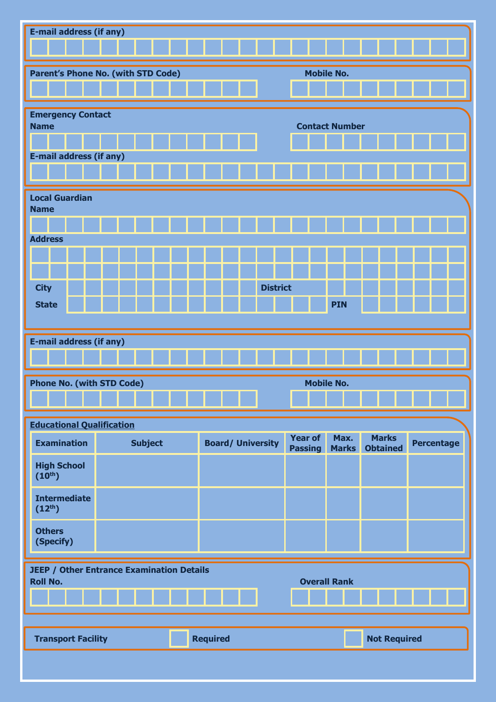| <b>E-mail address (if any)</b>                   |                |  |                 |  |                          |                                  |                       |                                 |                   |  |
|--------------------------------------------------|----------------|--|-----------------|--|--------------------------|----------------------------------|-----------------------|---------------------------------|-------------------|--|
|                                                  |                |  |                 |  |                          |                                  |                       |                                 |                   |  |
| Parent's Phone No. (with STD Code)               |                |  |                 |  |                          |                                  | <b>Mobile No.</b>     |                                 |                   |  |
|                                                  |                |  |                 |  |                          |                                  |                       |                                 |                   |  |
| <b>Emergency Contact</b><br><b>Name</b>          |                |  |                 |  |                          |                                  | <b>Contact Number</b> |                                 |                   |  |
|                                                  |                |  |                 |  |                          |                                  |                       |                                 |                   |  |
| <b>E-mail address (if any)</b>                   |                |  |                 |  |                          |                                  |                       |                                 |                   |  |
|                                                  |                |  |                 |  |                          |                                  |                       |                                 |                   |  |
| <b>Local Guardian</b><br><b>Name</b>             |                |  |                 |  |                          |                                  |                       |                                 |                   |  |
|                                                  |                |  |                 |  |                          |                                  |                       |                                 |                   |  |
| <b>Address</b>                                   |                |  |                 |  |                          |                                  |                       |                                 |                   |  |
|                                                  |                |  |                 |  |                          |                                  |                       |                                 |                   |  |
| <b>City</b>                                      |                |  |                 |  | <b>District</b>          |                                  |                       |                                 |                   |  |
| <b>State</b>                                     |                |  |                 |  |                          |                                  | <b>PIN</b>            |                                 |                   |  |
|                                                  |                |  |                 |  |                          |                                  |                       |                                 |                   |  |
| <b>E-mail address (if any)</b>                   |                |  |                 |  |                          |                                  |                       |                                 |                   |  |
|                                                  |                |  |                 |  |                          |                                  |                       |                                 |                   |  |
| <b>Phone No. (with STD Code)</b>                 |                |  |                 |  |                          |                                  | <b>Mobile No.</b>     |                                 |                   |  |
|                                                  |                |  |                 |  |                          |                                  |                       |                                 |                   |  |
| <b>Educational Qualification</b>                 |                |  |                 |  |                          |                                  |                       |                                 |                   |  |
| <b>Examination</b>                               | <b>Subject</b> |  |                 |  | <b>Board/ University</b> | <b>Year of</b><br><b>Passing</b> | Max.<br><b>Marks</b>  | <b>Marks</b><br><b>Obtained</b> | <b>Percentage</b> |  |
| <b>High School</b><br>(10 <sup>th</sup> )        |                |  |                 |  |                          |                                  |                       |                                 |                   |  |
| <b>Intermediate</b><br>$(12^{th})$               |                |  |                 |  |                          |                                  |                       |                                 |                   |  |
| <b>Others</b><br>(Specify)                       |                |  |                 |  |                          |                                  |                       |                                 |                   |  |
| <b>JEEP / Other Entrance Examination Details</b> |                |  |                 |  |                          |                                  |                       |                                 |                   |  |
| <b>Roll No.</b>                                  |                |  |                 |  |                          |                                  | <b>Overall Rank</b>   |                                 |                   |  |
|                                                  |                |  |                 |  |                          |                                  |                       |                                 |                   |  |
|                                                  |                |  |                 |  |                          |                                  |                       |                                 |                   |  |
| <b>Transport Facility</b>                        |                |  | <b>Required</b> |  |                          |                                  |                       | <b>Not Required</b>             |                   |  |
|                                                  |                |  |                 |  |                          |                                  |                       |                                 |                   |  |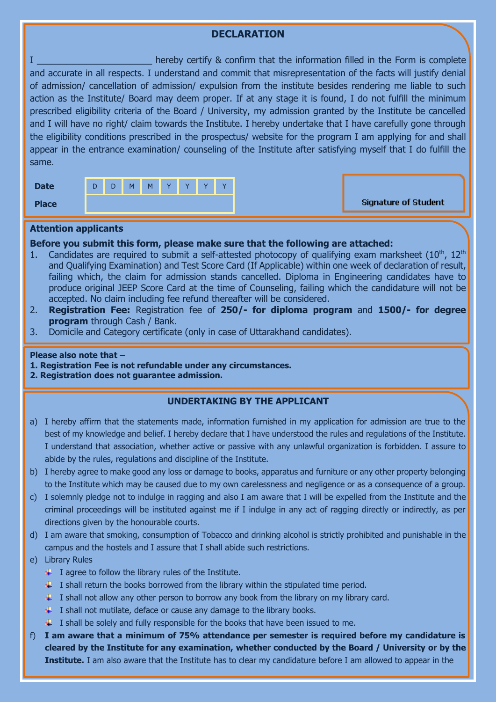# **DECLARATION**

I **I I EXECUTE THE INTERFALL HERE** hereby certify & confirm that the information filled in the Form is complete and accurate in all respects. I understand and commit that misrepresentation of the facts will justify denial of admission/ cancellation of admission/ expulsion from the institute besides rendering me liable to such action as the Institute/ Board may deem proper. If at any stage it is found, I do not fulfill the minimum prescribed eligibility criteria of the Board / University, my admission granted by the Institute be cancelled and I will have no right/ claim towards the Institute. I hereby undertake that I have carefully gone through the eligibility conditions prescribed in the prospectus/ website for the program I am applying for and shall appear in the entrance examination/ counseling of the Institute after satisfying myself that I do fulfill the same.

| <b>Date</b>  | D | D | M | M | $\overline{V}$ | $\overline{V}$ | $\overline{V}$ | $\overline{V}$ |
|--------------|---|---|---|---|----------------|----------------|----------------|----------------|
| <b>Place</b> |   |   |   |   |                |                |                |                |

## **Attention applicants**

### **Before you submit this form, please make sure that the following are attached:**

- 1. Candidates are required to submit a self-attested photocopy of qualifying exam marksheet  $(10<sup>th</sup>, 12<sup>th</sup>)$ and Qualifying Examination) and Test Score Card (If Applicable) within one week of declaration of result, failing which, the claim for admission stands cancelled. Diploma in Engineering candidates have to produce original JEEP Score Card at the time of Counseling, failing which the candidature will not be accepted. No claim including fee refund thereafter will be considered.
- 2. **Registration Fee:** Registration fee of **250/- for diploma program** and **1500/- for degree program** through Cash / Bank.
- 3. Domicile and Category certificate (only in case of Uttarakhand candidates).

### **Please also note that –**

### **1. Registration Fee is not refundable under any circumstances.**

**2. Registration does not guarantee admission.**

### **UNDERTAKING BY THE APPLICANT**

- a) I hereby affirm that the statements made, information furnished in my application for admission are true to the best of my knowledge and belief. I hereby declare that I have understood the rules and regulations of the Institute. I understand that association, whether active or passive with any unlawful organization is forbidden. I assure to abide by the rules, regulations and discipline of the Institute.
- b) I hereby agree to make good any loss or damage to books, apparatus and furniture or any other property belonging to the Institute which may be caused due to my own carelessness and negligence or as a consequence of a group.
- c) I solemnly pledge not to indulge in ragging and also I am aware that I will be expelled from the Institute and the criminal proceedings will be instituted against me if I indulge in any act of ragging directly or indirectly, as per directions given by the honourable courts.
- d) I am aware that smoking, consumption of Tobacco and drinking alcohol is strictly prohibited and punishable in the campus and the hostels and I assure that I shall abide such restrictions.
- e) Library Rules
	- $\ddotplus$  I agree to follow the library rules of the Institute.
	- $\perp$  I shall return the books borrowed from the library within the stipulated time period.
	- $\ddotmark$  I shall not allow any other person to borrow any book from the library on my library card.
	- $\downarrow$  I shall not mutilate, deface or cause any damage to the library books.
	- $\downarrow$  I shall be solely and fully responsible for the books that have been issued to me.
- f) **I am aware that a minimum of 75% attendance per semester is required before my candidature is cleared by the Institute for any examination, whether conducted by the Board / University or by the Institute.** I am also aware that the Institute has to clear my candidature before I am allowed to appear in the